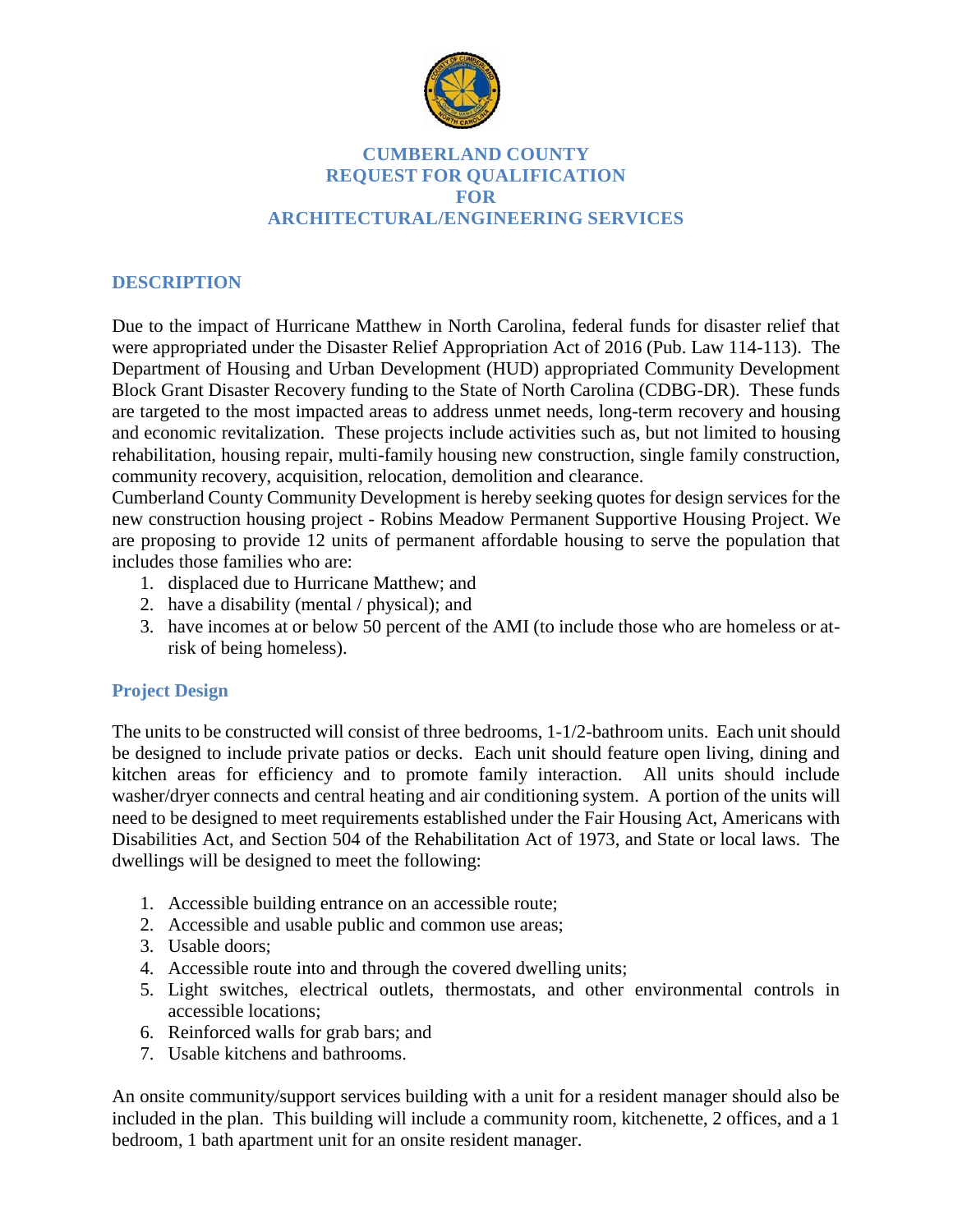

# **CUMBERLAND COUNTY REQUEST FOR QUALIFICATION FOR ARCHITECTURAL/ENGINEERING SERVICES**

# **DESCRIPTION**

Due to the impact of Hurricane Matthew in North Carolina, federal funds for disaster relief that were appropriated under the Disaster Relief Appropriation Act of 2016 (Pub. Law 114-113). The Department of Housing and Urban Development (HUD) appropriated Community Development Block Grant Disaster Recovery funding to the State of North Carolina (CDBG-DR). These funds are targeted to the most impacted areas to address unmet needs, long-term recovery and housing and economic revitalization. These projects include activities such as, but not limited to housing rehabilitation, housing repair, multi-family housing new construction, single family construction, community recovery, acquisition, relocation, demolition and clearance.

Cumberland County Community Development is hereby seeking quotes for design services for the new construction housing project - Robins Meadow Permanent Supportive Housing Project. We are proposing to provide 12 units of permanent affordable housing to serve the population that includes those families who are:

- 1. displaced due to Hurricane Matthew; and
- 2. have a disability (mental / physical); and
- 3. have incomes at or below 50 percent of the AMI (to include those who are homeless or atrisk of being homeless).

# **Project Design**

The units to be constructed will consist of three bedrooms, 1-1/2-bathroom units. Each unit should be designed to include private patios or decks. Each unit should feature open living, dining and kitchen areas for efficiency and to promote family interaction. All units should include washer/dryer connects and central heating and air conditioning system. A portion of the units will need to be designed to meet requirements established under the Fair Housing Act, Americans with Disabilities Act, and Section 504 of the Rehabilitation Act of 1973, and State or local laws. The dwellings will be designed to meet the following:

- 1. Accessible building entrance on an accessible route;
- 2. Accessible and usable public and common use areas;
- 3. Usable doors;
- 4. Accessible route into and through the covered dwelling units;
- 5. Light switches, electrical outlets, thermostats, and other environmental controls in accessible locations;
- 6. Reinforced walls for grab bars; and
- 7. Usable kitchens and bathrooms.

An onsite community/support services building with a unit for a resident manager should also be included in the plan. This building will include a community room, kitchenette, 2 offices, and a 1 bedroom, 1 bath apartment unit for an onsite resident manager.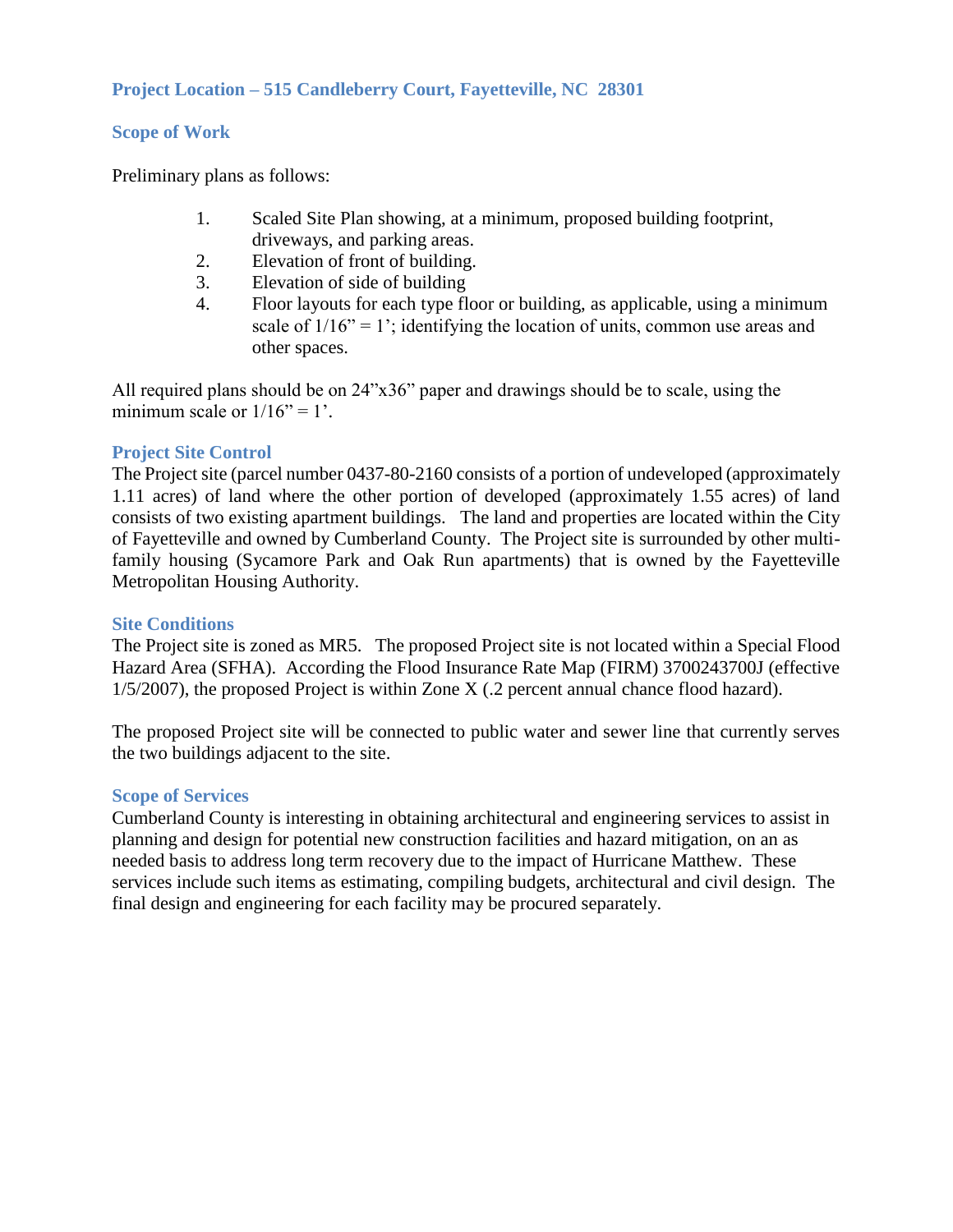# **Project Location – 515 Candleberry Court, Fayetteville, NC 28301**

# **Scope of Work**

Preliminary plans as follows:

- 1. Scaled Site Plan showing, at a minimum, proposed building footprint, driveways, and parking areas.
- 2. Elevation of front of building.
- 3. Elevation of side of building
- 4. Floor layouts for each type floor or building, as applicable, using a minimum scale of  $1/16$ " = 1'; identifying the location of units, common use areas and other spaces.

All required plans should be on 24"x36" paper and drawings should be to scale, using the minimum scale or  $1/16$ " = 1'.

# **Project Site Control**

The Project site (parcel number 0437-80-2160 consists of a portion of undeveloped (approximately 1.11 acres) of land where the other portion of developed (approximately 1.55 acres) of land consists of two existing apartment buildings. The land and properties are located within the City of Fayetteville and owned by Cumberland County. The Project site is surrounded by other multifamily housing (Sycamore Park and Oak Run apartments) that is owned by the Fayetteville Metropolitan Housing Authority.

# **Site Conditions**

The Project site is zoned as MR5. The proposed Project site is not located within a Special Flood Hazard Area (SFHA). According the Flood Insurance Rate Map (FIRM) 3700243700J (effective 1/5/2007), the proposed Project is within Zone X (.2 percent annual chance flood hazard).

The proposed Project site will be connected to public water and sewer line that currently serves the two buildings adjacent to the site.

# **Scope of Services**

Cumberland County is interesting in obtaining architectural and engineering services to assist in planning and design for potential new construction facilities and hazard mitigation, on an as needed basis to address long term recovery due to the impact of Hurricane Matthew. These services include such items as estimating, compiling budgets, architectural and civil design. The final design and engineering for each facility may be procured separately.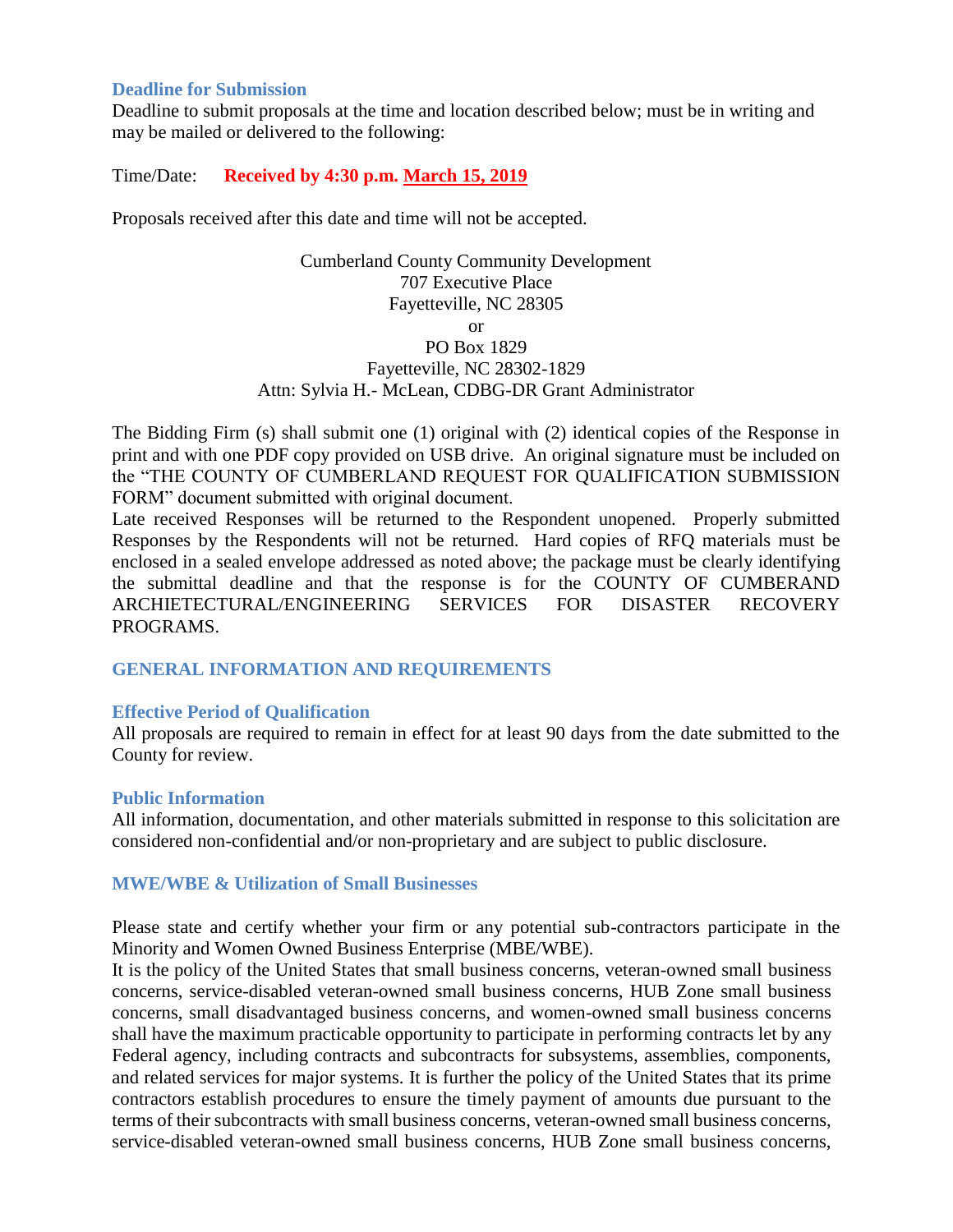### **Deadline for Submission**

Deadline to submit proposals at the time and location described below; must be in writing and may be mailed or delivered to the following:

# Time/Date: **Received by 4:30 p.m. March 15, 2019**

Proposals received after this date and time will not be accepted.

Cumberland County Community Development 707 Executive Place Fayetteville, NC 28305 or PO Box 1829 Fayetteville, NC 28302-1829 Attn: Sylvia H.- McLean, CDBG-DR Grant Administrator

The Bidding Firm (s) shall submit one (1) original with (2) identical copies of the Response in print and with one PDF copy provided on USB drive. An original signature must be included on the "THE COUNTY OF CUMBERLAND REQUEST FOR QUALIFICATION SUBMISSION FORM" document submitted with original document.

Late received Responses will be returned to the Respondent unopened. Properly submitted Responses by the Respondents will not be returned. Hard copies of RFQ materials must be enclosed in a sealed envelope addressed as noted above; the package must be clearly identifying the submittal deadline and that the response is for the COUNTY OF CUMBERAND ARCHIETECTURAL/ENGINEERING SERVICES FOR DISASTER RECOVERY PROGRAMS.

# **GENERAL INFORMATION AND REQUIREMENTS**

# **Effective Period of Qualification**

All proposals are required to remain in effect for at least 90 days from the date submitted to the County for review.

#### **Public Information**

All information, documentation, and other materials submitted in response to this solicitation are considered non-confidential and/or non-proprietary and are subject to public disclosure.

#### **MWE/WBE & Utilization of Small Businesses**

Please state and certify whether your firm or any potential sub-contractors participate in the Minority and Women Owned Business Enterprise (MBE/WBE).

It is the policy of the United States that small business concerns, veteran-owned small business concerns, service-disabled veteran-owned small business concerns, HUB Zone small business concerns, small disadvantaged business concerns, and women-owned small business concerns shall have the maximum practicable opportunity to participate in performing contracts let by any Federal agency, including contracts and subcontracts for subsystems, assemblies, components, and related services for major systems. It is further the policy of the United States that its prime contractors establish procedures to ensure the timely payment of amounts due pursuant to the terms of their subcontracts with small business concerns, veteran-owned small business concerns, service-disabled veteran-owned small business concerns, HUB Zone small business concerns,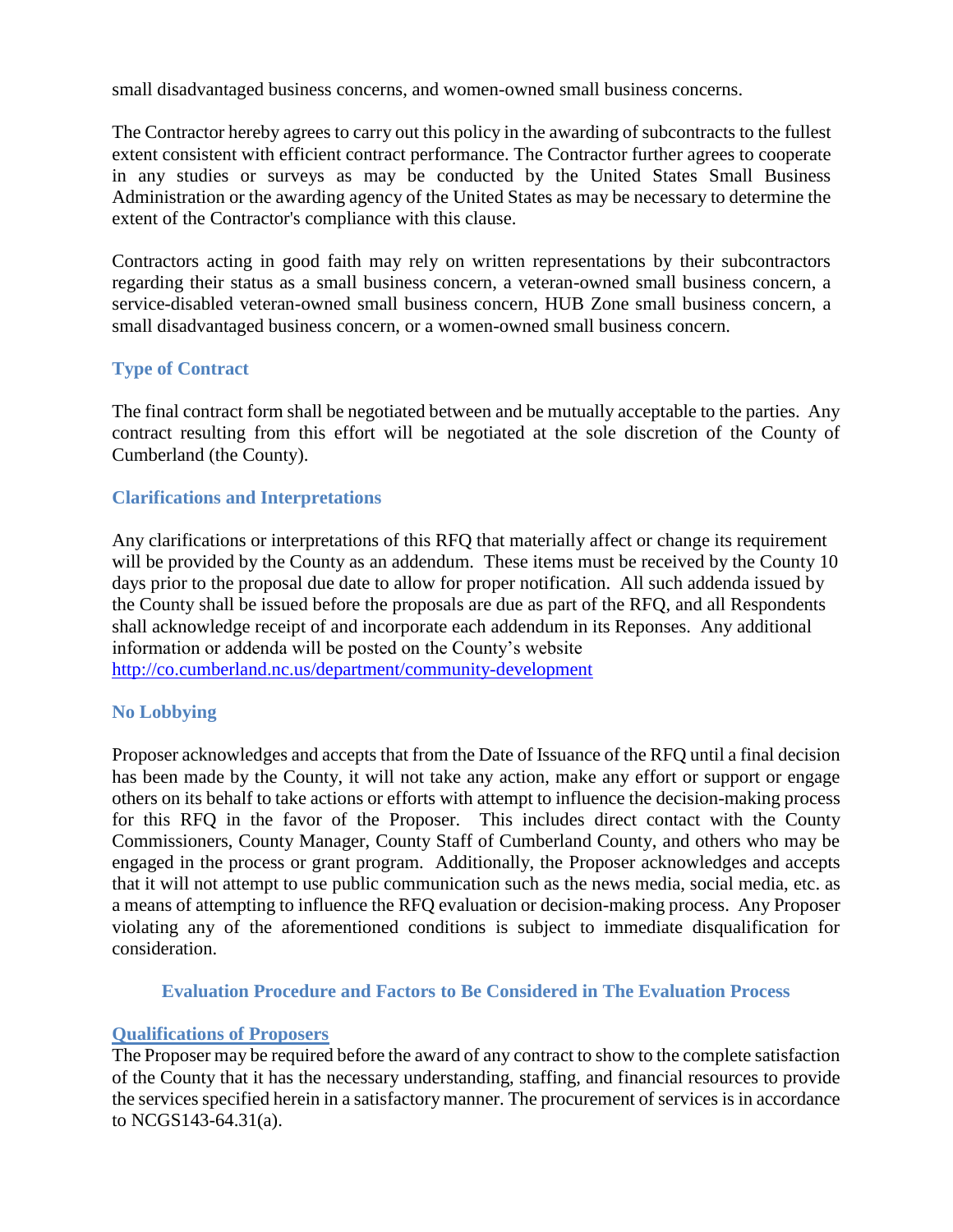small disadvantaged business concerns, and women-owned small business concerns.

The Contractor hereby agrees to carry out this policy in the awarding of subcontracts to the fullest extent consistent with efficient contract performance. The Contractor further agrees to cooperate in any studies or surveys as may be conducted by the United States Small Business Administration or the awarding agency of the United States as may be necessary to determine the extent of the Contractor's compliance with this clause.

Contractors acting in good faith may rely on written representations by their subcontractors regarding their status as a small business concern, a veteran-owned small business concern, a service-disabled veteran-owned small business concern, HUB Zone small business concern, a small disadvantaged business concern, or a women-owned small business concern.

# **Type of Contract**

The final contract form shall be negotiated between and be mutually acceptable to the parties. Any contract resulting from this effort will be negotiated at the sole discretion of the County of Cumberland (the County).

# **Clarifications and Interpretations**

Any clarifications or interpretations of this RFQ that materially affect or change its requirement will be provided by the County as an addendum. These items must be received by the County 10 days prior to the proposal due date to allow for proper notification. All such addenda issued by the County shall be issued before the proposals are due as part of the RFQ, and all Respondents shall acknowledge receipt of and incorporate each addendum in its Reponses. Any additional information or addenda will be posted on the County's website <http://co.cumberland.nc.us/>department/community-development

# **No Lobbying**

Proposer acknowledges and accepts that from the Date of Issuance of the RFQ until a final decision has been made by the County, it will not take any action, make any effort or support or engage others on its behalf to take actions or efforts with attempt to influence the decision-making process for this RFQ in the favor of the Proposer. This includes direct contact with the County Commissioners, County Manager, County Staff of Cumberland County, and others who may be engaged in the process or grant program. Additionally, the Proposer acknowledges and accepts that it will not attempt to use public communication such as the news media, social media, etc. as a means of attempting to influence the RFQ evaluation or decision-making process. Any Proposer violating any of the aforementioned conditions is subject to immediate disqualification for consideration.

# **Evaluation Procedure and Factors to Be Considered in The Evaluation Process**

# **Qualifications of Proposers**

The Proposer may be required before the award of any contract to show to the complete satisfaction of the County that it has the necessary understanding, staffing, and financial resources to provide the services specified herein in a satisfactory manner. The procurement of services is in accordance to NCGS143-64.31(a).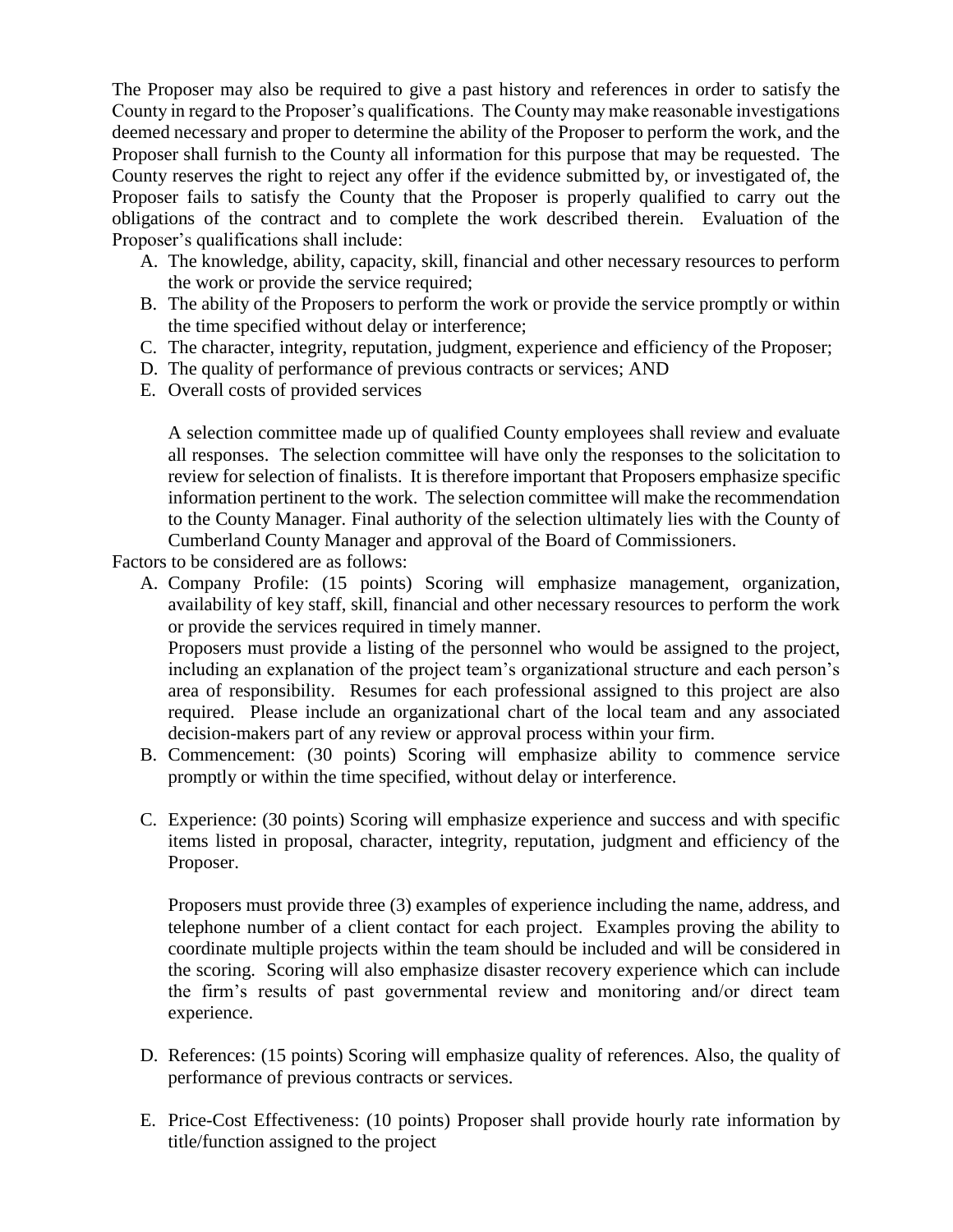The Proposer may also be required to give a past history and references in order to satisfy the County in regard to the Proposer's qualifications. The County may make reasonable investigations deemed necessary and proper to determine the ability of the Proposer to perform the work, and the Proposer shall furnish to the County all information for this purpose that may be requested. The County reserves the right to reject any offer if the evidence submitted by, or investigated of, the Proposer fails to satisfy the County that the Proposer is properly qualified to carry out the obligations of the contract and to complete the work described therein. Evaluation of the Proposer's qualifications shall include:

- A. The knowledge, ability, capacity, skill, financial and other necessary resources to perform the work or provide the service required;
- B. The ability of the Proposers to perform the work or provide the service promptly or within the time specified without delay or interference;
- C. The character, integrity, reputation, judgment, experience and efficiency of the Proposer;
- D. The quality of performance of previous contracts or services; AND
- E. Overall costs of provided services

A selection committee made up of qualified County employees shall review and evaluate all responses. The selection committee will have only the responses to the solicitation to review for selection of finalists. It is therefore important that Proposers emphasize specific information pertinent to the work. The selection committee will make the recommendation to the County Manager. Final authority of the selection ultimately lies with the County of Cumberland County Manager and approval of the Board of Commissioners.

Factors to be considered are as follows:

A. Company Profile: (15 points) Scoring will emphasize management, organization, availability of key staff, skill, financial and other necessary resources to perform the work or provide the services required in timely manner.

Proposers must provide a listing of the personnel who would be assigned to the project, including an explanation of the project team's organizational structure and each person's area of responsibility. Resumes for each professional assigned to this project are also required. Please include an organizational chart of the local team and any associated decision-makers part of any review or approval process within your firm.

- B. Commencement: (30 points) Scoring will emphasize ability to commence service promptly or within the time specified, without delay or interference.
- C. Experience: (30 points) Scoring will emphasize experience and success and with specific items listed in proposal, character, integrity, reputation, judgment and efficiency of the Proposer.

Proposers must provide three (3) examples of experience including the name, address, and telephone number of a client contact for each project. Examples proving the ability to coordinate multiple projects within the team should be included and will be considered in the scoring. Scoring will also emphasize disaster recovery experience which can include the firm's results of past governmental review and monitoring and/or direct team experience.

- D. References: (15 points) Scoring will emphasize quality of references. Also, the quality of performance of previous contracts or services.
- E. Price-Cost Effectiveness: (10 points) Proposer shall provide hourly rate information by title/function assigned to the project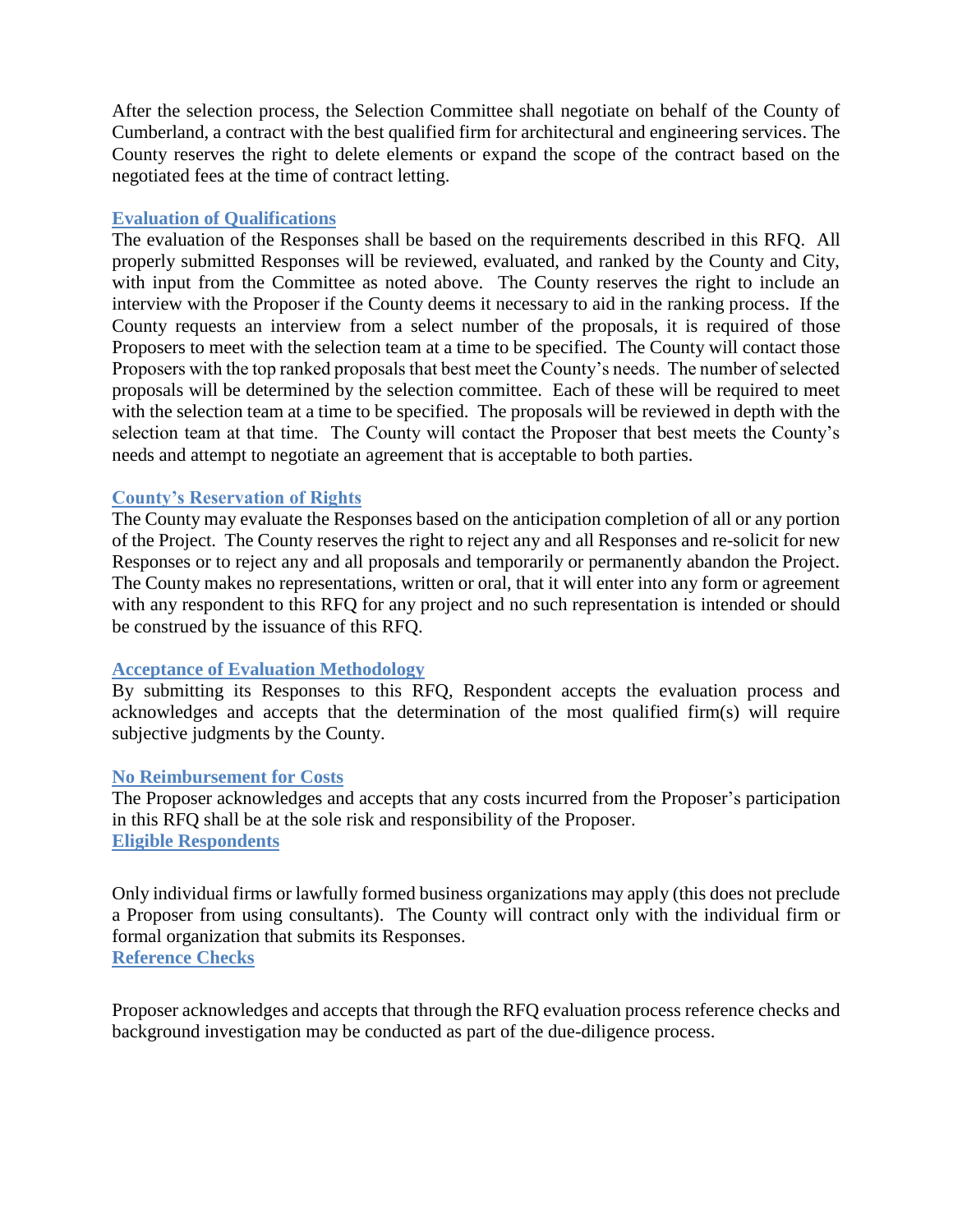After the selection process, the Selection Committee shall negotiate on behalf of the County of Cumberland, a contract with the best qualified firm for architectural and engineering services. The County reserves the right to delete elements or expand the scope of the contract based on the negotiated fees at the time of contract letting.

# **Evaluation of Qualifications**

The evaluation of the Responses shall be based on the requirements described in this RFQ. All properly submitted Responses will be reviewed, evaluated, and ranked by the County and City, with input from the Committee as noted above. The County reserves the right to include an interview with the Proposer if the County deems it necessary to aid in the ranking process. If the County requests an interview from a select number of the proposals, it is required of those Proposers to meet with the selection team at a time to be specified. The County will contact those Proposers with the top ranked proposals that best meet the County's needs. The number of selected proposals will be determined by the selection committee. Each of these will be required to meet with the selection team at a time to be specified. The proposals will be reviewed in depth with the selection team at that time. The County will contact the Proposer that best meets the County's needs and attempt to negotiate an agreement that is acceptable to both parties.

# **County's Reservation of Rights**

The County may evaluate the Responses based on the anticipation completion of all or any portion of the Project. The County reserves the right to reject any and all Responses and re-solicit for new Responses or to reject any and all proposals and temporarily or permanently abandon the Project. The County makes no representations, written or oral, that it will enter into any form or agreement with any respondent to this RFQ for any project and no such representation is intended or should be construed by the issuance of this RFQ.

# **Acceptance of Evaluation Methodology**

By submitting its Responses to this RFQ, Respondent accepts the evaluation process and acknowledges and accepts that the determination of the most qualified firm(s) will require subjective judgments by the County.

# **No Reimbursement for Costs**

The Proposer acknowledges and accepts that any costs incurred from the Proposer's participation in this RFQ shall be at the sole risk and responsibility of the Proposer. **Eligible Respondents**

Only individual firms or lawfully formed business organizations may apply (this does not preclude a Proposer from using consultants). The County will contract only with the individual firm or formal organization that submits its Responses. **Reference Checks**

Proposer acknowledges and accepts that through the RFQ evaluation process reference checks and background investigation may be conducted as part of the due-diligence process.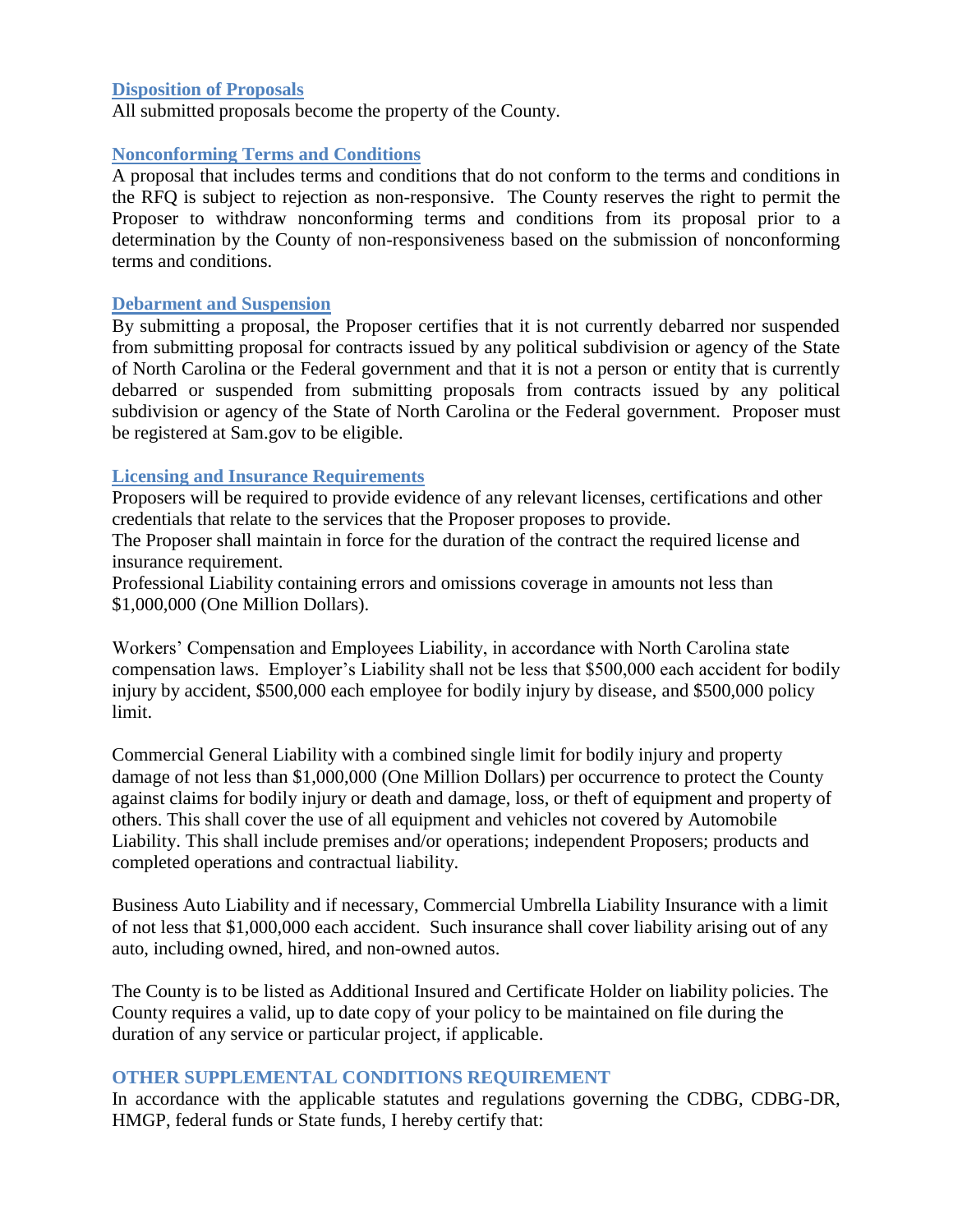# **Disposition of Proposals**

All submitted proposals become the property of the County.

### **Nonconforming Terms and Conditions**

A proposal that includes terms and conditions that do not conform to the terms and conditions in the RFQ is subject to rejection as non-responsive. The County reserves the right to permit the Proposer to withdraw nonconforming terms and conditions from its proposal prior to a determination by the County of non-responsiveness based on the submission of nonconforming terms and conditions.

### **Debarment and Suspension**

By submitting a proposal, the Proposer certifies that it is not currently debarred nor suspended from submitting proposal for contracts issued by any political subdivision or agency of the State of North Carolina or the Federal government and that it is not a person or entity that is currently debarred or suspended from submitting proposals from contracts issued by any political subdivision or agency of the State of North Carolina or the Federal government. Proposer must be registered at Sam.gov to be eligible.

# **Licensing and Insurance Requirements**

Proposers will be required to provide evidence of any relevant licenses, certifications and other credentials that relate to the services that the Proposer proposes to provide.

The Proposer shall maintain in force for the duration of the contract the required license and insurance requirement.

Professional Liability containing errors and omissions coverage in amounts not less than \$1,000,000 (One Million Dollars).

Workers' Compensation and Employees Liability, in accordance with North Carolina state compensation laws. Employer's Liability shall not be less that \$500,000 each accident for bodily injury by accident, \$500,000 each employee for bodily injury by disease, and \$500,000 policy limit.

Commercial General Liability with a combined single limit for bodily injury and property damage of not less than \$1,000,000 (One Million Dollars) per occurrence to protect the County against claims for bodily injury or death and damage, loss, or theft of equipment and property of others. This shall cover the use of all equipment and vehicles not covered by Automobile Liability. This shall include premises and/or operations; independent Proposers; products and completed operations and contractual liability.

Business Auto Liability and if necessary, Commercial Umbrella Liability Insurance with a limit of not less that \$1,000,000 each accident. Such insurance shall cover liability arising out of any auto, including owned, hired, and non-owned autos.

The County is to be listed as Additional Insured and Certificate Holder on liability policies. The County requires a valid, up to date copy of your policy to be maintained on file during the duration of any service or particular project, if applicable.

# **OTHER SUPPLEMENTAL CONDITIONS REQUIREMENT**

In accordance with the applicable statutes and regulations governing the CDBG, CDBG-DR, HMGP, federal funds or State funds, I hereby certify that: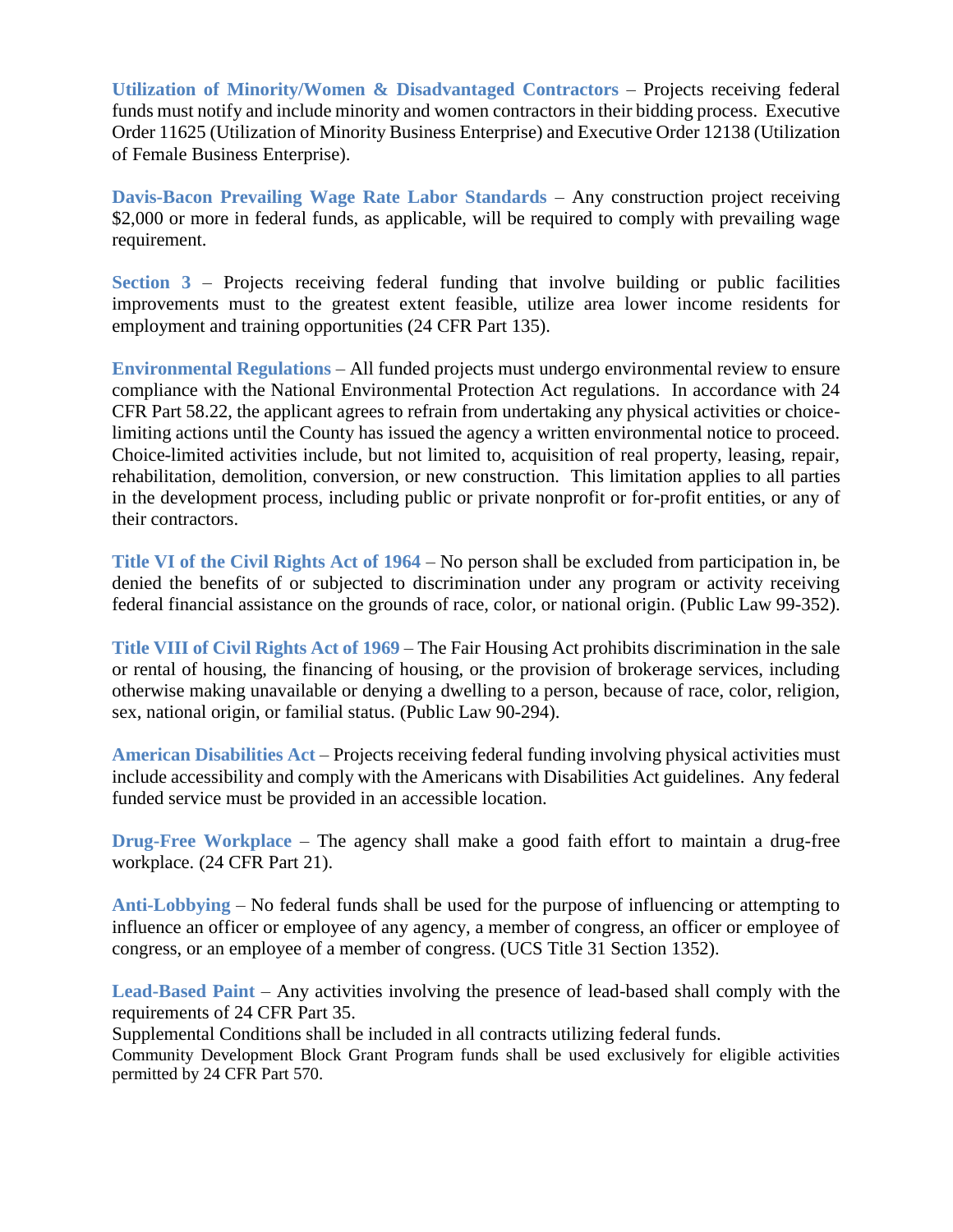**Utilization of Minority/Women & Disadvantaged Contractors** – Projects receiving federal funds must notify and include minority and women contractors in their bidding process. Executive Order 11625 (Utilization of Minority Business Enterprise) and Executive Order 12138 (Utilization of Female Business Enterprise).

**Davis-Bacon Prevailing Wage Rate Labor Standards** – Any construction project receiving \$2,000 or more in federal funds, as applicable, will be required to comply with prevailing wage requirement.

**Section 3** – Projects receiving federal funding that involve building or public facilities improvements must to the greatest extent feasible, utilize area lower income residents for employment and training opportunities (24 CFR Part 135).

**Environmental Regulations** – All funded projects must undergo environmental review to ensure compliance with the National Environmental Protection Act regulations. In accordance with 24 CFR Part 58.22, the applicant agrees to refrain from undertaking any physical activities or choicelimiting actions until the County has issued the agency a written environmental notice to proceed. Choice-limited activities include, but not limited to, acquisition of real property, leasing, repair, rehabilitation, demolition, conversion, or new construction. This limitation applies to all parties in the development process, including public or private nonprofit or for-profit entities, or any of their contractors.

**Title VI of the Civil Rights Act of 1964** – No person shall be excluded from participation in, be denied the benefits of or subjected to discrimination under any program or activity receiving federal financial assistance on the grounds of race, color, or national origin. (Public Law 99-352).

**Title VIII of Civil Rights Act of 1969** – The Fair Housing Act prohibits discrimination in the sale or rental of housing, the financing of housing, or the provision of brokerage services, including otherwise making unavailable or denying a dwelling to a person, because of race, color, religion, sex, national origin, or familial status. (Public Law 90-294).

**American Disabilities Act** – Projects receiving federal funding involving physical activities must include accessibility and comply with the Americans with Disabilities Act guidelines. Any federal funded service must be provided in an accessible location.

**Drug-Free Workplace** – The agency shall make a good faith effort to maintain a drug-free workplace. (24 CFR Part 21).

**Anti-Lobbying** – No federal funds shall be used for the purpose of influencing or attempting to influence an officer or employee of any agency, a member of congress, an officer or employee of congress, or an employee of a member of congress. (UCS Title 31 Section 1352).

**Lead-Based Paint** – Any activities involving the presence of lead-based shall comply with the requirements of 24 CFR Part 35.

Supplemental Conditions shall be included in all contracts utilizing federal funds.

Community Development Block Grant Program funds shall be used exclusively for eligible activities permitted by 24 CFR Part 570.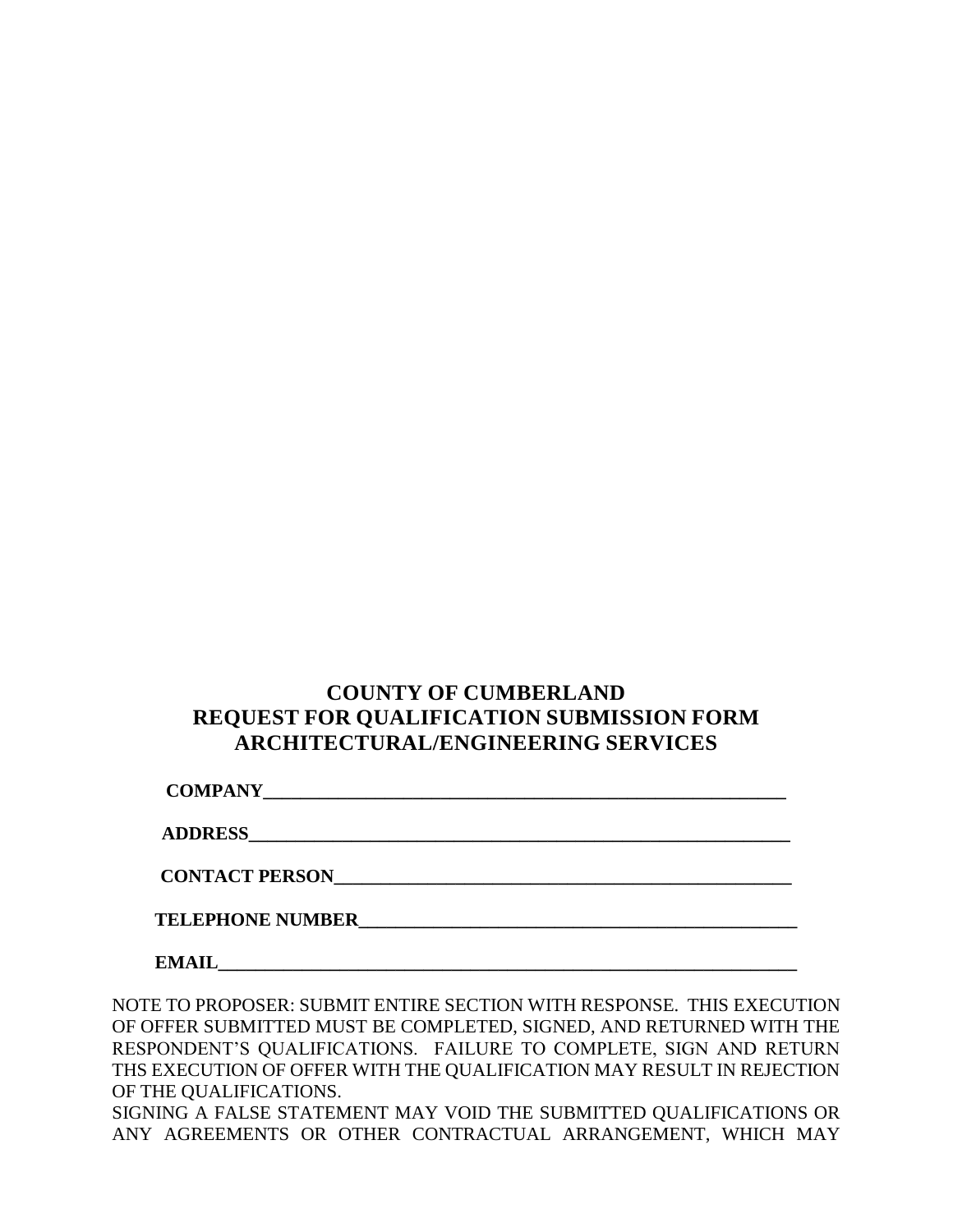# **COUNTY OF CUMBERLAND REQUEST FOR QUALIFICATION SUBMISSION FORM ARCHITECTURAL/ENGINEERING SERVICES**

**COMPANY\_\_\_\_\_\_\_\_\_\_\_\_\_\_\_\_\_\_\_\_\_\_\_\_\_\_\_\_\_\_\_\_\_\_\_\_\_\_\_\_\_\_\_\_\_\_\_\_\_\_\_\_\_\_\_\_**

**ADDRESS\_\_\_\_\_\_\_\_\_\_\_\_\_\_\_\_\_\_\_\_\_\_\_\_\_\_\_\_\_\_\_\_\_\_\_\_\_\_\_\_\_\_\_\_\_\_\_\_\_\_\_\_\_\_\_\_\_\_**

**CONTACT PERSON\_\_\_\_\_\_\_\_\_\_\_\_\_\_\_\_\_\_\_\_\_\_\_\_\_\_\_\_\_\_\_\_\_\_\_\_\_\_\_\_\_\_\_\_\_\_\_\_\_**

**TELEPHONE NUMBER\_\_\_\_\_\_\_\_\_\_\_\_\_\_\_\_\_\_\_\_\_\_\_\_\_\_\_\_\_\_\_\_\_\_\_\_\_\_\_\_\_\_\_\_\_\_\_**

 $$ 

NOTE TO PROPOSER: SUBMIT ENTIRE SECTION WITH RESPONSE. THIS EXECUTION OF OFFER SUBMITTED MUST BE COMPLETED, SIGNED, AND RETURNED WITH THE RESPONDENT'S QUALIFICATIONS. FAILURE TO COMPLETE, SIGN AND RETURN THS EXECUTION OF OFFER WITH THE QUALIFICATION MAY RESULT IN REJECTION OF THE QUALIFICATIONS.

SIGNING A FALSE STATEMENT MAY VOID THE SUBMITTED QUALIFICATIONS OR ANY AGREEMENTS OR OTHER CONTRACTUAL ARRANGEMENT, WHICH MAY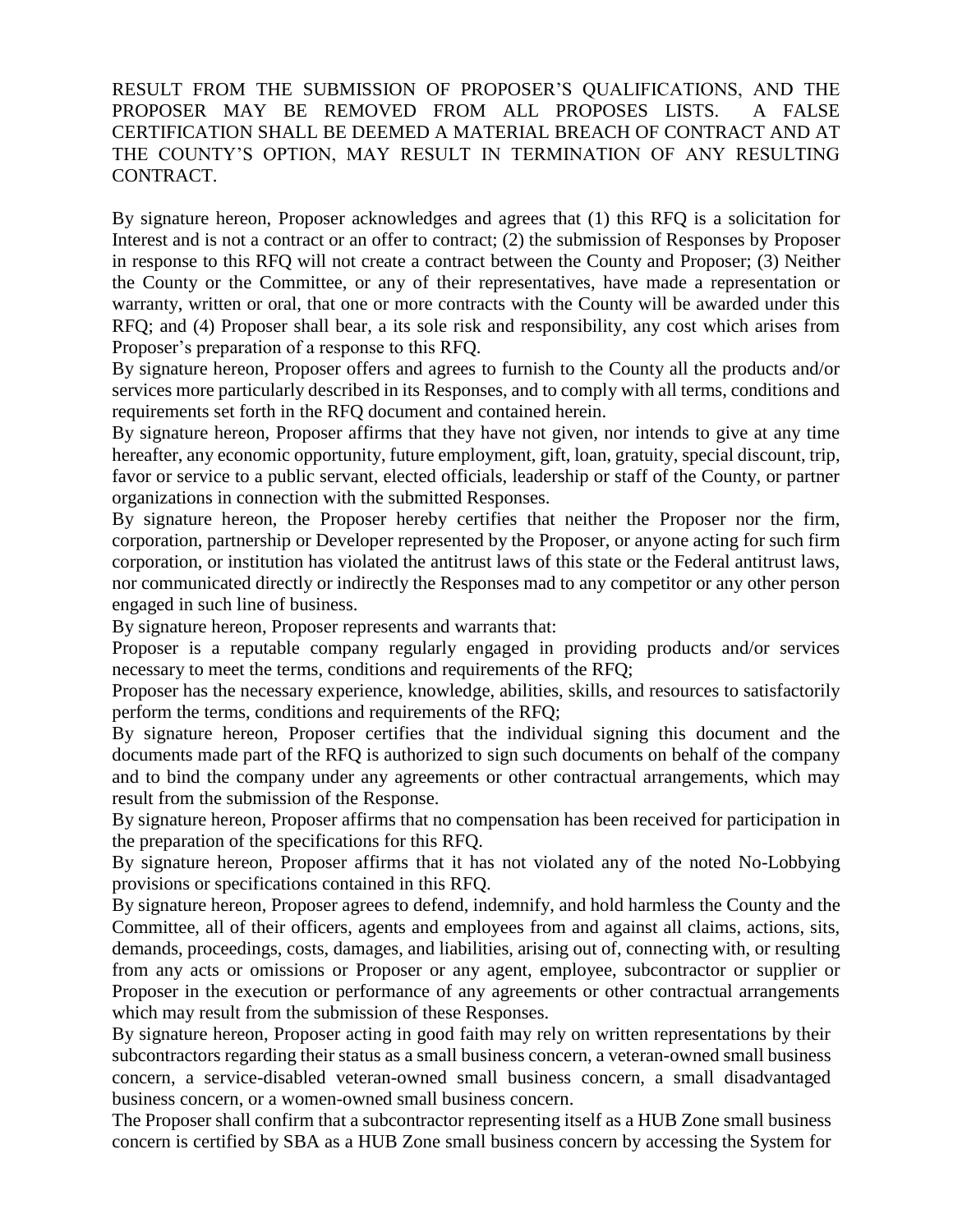# RESULT FROM THE SUBMISSION OF PROPOSER'S QUALIFICATIONS, AND THE PROPOSER MAY BE REMOVED FROM ALL PROPOSES LISTS. A FALSE CERTIFICATION SHALL BE DEEMED A MATERIAL BREACH OF CONTRACT AND AT THE COUNTY'S OPTION, MAY RESULT IN TERMINATION OF ANY RESULTING CONTRACT.

By signature hereon, Proposer acknowledges and agrees that (1) this RFQ is a solicitation for Interest and is not a contract or an offer to contract; (2) the submission of Responses by Proposer in response to this RFQ will not create a contract between the County and Proposer; (3) Neither the County or the Committee, or any of their representatives, have made a representation or warranty, written or oral, that one or more contracts with the County will be awarded under this RFQ; and (4) Proposer shall bear, a its sole risk and responsibility, any cost which arises from Proposer's preparation of a response to this RFQ.

By signature hereon, Proposer offers and agrees to furnish to the County all the products and/or services more particularly described in its Responses, and to comply with all terms, conditions and requirements set forth in the RFQ document and contained herein.

By signature hereon, Proposer affirms that they have not given, nor intends to give at any time hereafter, any economic opportunity, future employment, gift, loan, gratuity, special discount, trip, favor or service to a public servant, elected officials, leadership or staff of the County, or partner organizations in connection with the submitted Responses.

By signature hereon, the Proposer hereby certifies that neither the Proposer nor the firm, corporation, partnership or Developer represented by the Proposer, or anyone acting for such firm corporation, or institution has violated the antitrust laws of this state or the Federal antitrust laws, nor communicated directly or indirectly the Responses mad to any competitor or any other person engaged in such line of business.

By signature hereon, Proposer represents and warrants that:

Proposer is a reputable company regularly engaged in providing products and/or services necessary to meet the terms, conditions and requirements of the RFQ;

Proposer has the necessary experience, knowledge, abilities, skills, and resources to satisfactorily perform the terms, conditions and requirements of the RFQ;

By signature hereon, Proposer certifies that the individual signing this document and the documents made part of the RFQ is authorized to sign such documents on behalf of the company and to bind the company under any agreements or other contractual arrangements, which may result from the submission of the Response.

By signature hereon, Proposer affirms that no compensation has been received for participation in the preparation of the specifications for this RFQ.

By signature hereon, Proposer affirms that it has not violated any of the noted No-Lobbying provisions or specifications contained in this RFQ.

By signature hereon, Proposer agrees to defend, indemnify, and hold harmless the County and the Committee, all of their officers, agents and employees from and against all claims, actions, sits, demands, proceedings, costs, damages, and liabilities, arising out of, connecting with, or resulting from any acts or omissions or Proposer or any agent, employee, subcontractor or supplier or Proposer in the execution or performance of any agreements or other contractual arrangements which may result from the submission of these Responses.

By signature hereon, Proposer acting in good faith may rely on written representations by their subcontractors regarding their status as a small business concern, a veteran-owned small business concern, a service-disabled veteran-owned small business concern, a small disadvantaged business concern, or a women-owned small business concern.

The Proposer shall confirm that a subcontractor representing itself as a HUB Zone small business concern is certified by SBA as a HUB Zone small business concern by accessing the System for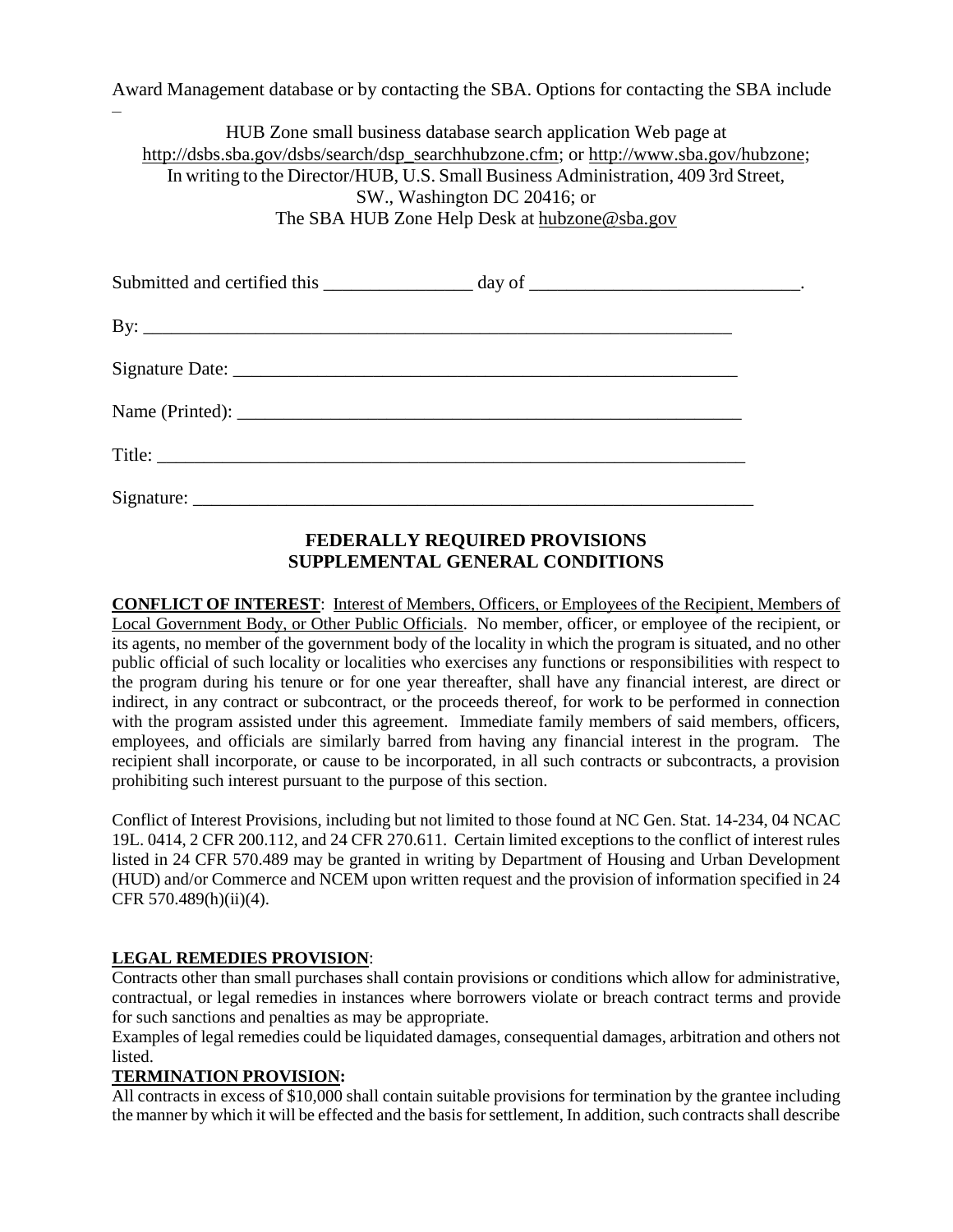Award Management database or by contacting the SBA. Options for contacting the SBA include

HUB Zone small business database search application Web page at [http://dsbs.sba.gov/dsbs/search/dsp\\_searchhubzone.cfm;](http://dsbs.sba.gov/dsbs/search/dsp_searchhubzone.cfm) or [http://www.sba.gov/hubzone;](http://www.sba.gov/hubzone) In writing to the Director/HUB, U.S. Small Business Administration, 409 3rd Street, SW., Washington DC 20416; or The SBA HUB Zone Help Desk at [hubzone@sba.gov](mailto:hubzone@sba.gov)

| By: $\overline{\phantom{a}}$ |  |
|------------------------------|--|
|                              |  |
|                              |  |
|                              |  |
|                              |  |

# **FEDERALLY REQUIRED PROVISIONS SUPPLEMENTAL GENERAL CONDITIONS**

**CONFLICT OF INTEREST**: Interest of Members, Officers, or Employees of the Recipient, Members of Local Government Body, or Other Public Officials. No member, officer, or employee of the recipient, or its agents, no member of the government body of the locality in which the program is situated, and no other public official of such locality or localities who exercises any functions or responsibilities with respect to the program during his tenure or for one year thereafter, shall have any financial interest, are direct or indirect, in any contract or subcontract, or the proceeds thereof, for work to be performed in connection with the program assisted under this agreement. Immediate family members of said members, officers, employees, and officials are similarly barred from having any financial interest in the program. The recipient shall incorporate, or cause to be incorporated, in all such contracts or subcontracts, a provision prohibiting such interest pursuant to the purpose of this section.

Conflict of Interest Provisions, including but not limited to those found at NC Gen. Stat. 14-234, 04 NCAC 19L. 0414, 2 CFR 200.112, and 24 CFR 270.611. Certain limited exceptions to the conflict of interest rules listed in 24 CFR 570.489 may be granted in writing by Department of Housing and Urban Development (HUD) and/or Commerce and NCEM upon written request and the provision of information specified in 24 CFR 570.489(h)(ii)(4).

#### **LEGAL REMEDIES PROVISION**:

–

Contracts other than small purchases shall contain provisions or conditions which allow for administrative, contractual, or legal remedies in instances where borrowers violate or breach contract terms and provide for such sanctions and penalties as may be appropriate.

Examples of legal remedies could be liquidated damages, consequential damages, arbitration and others not **listed** 

#### **TERMINATION PROVISION:**

All contracts in excess of \$10,000 shall contain suitable provisions for termination by the grantee including the manner by which it will be effected and the basis for settlement, In addition, such contracts shall describe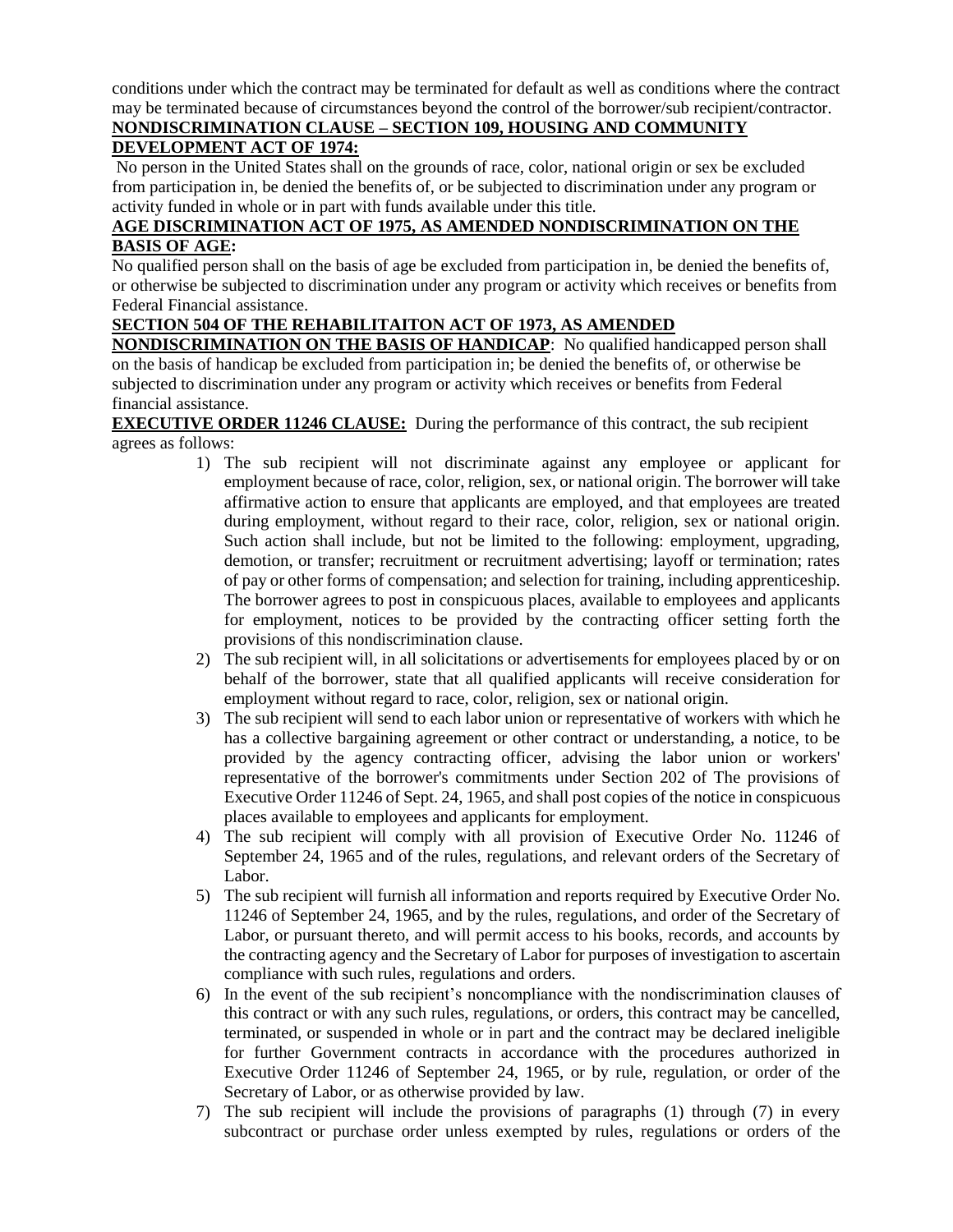conditions under which the contract may be terminated for default as well as conditions where the contract may be terminated because of circumstances beyond the control of the borrower/sub recipient/contractor.

# **NONDISCRIMINATION CLAUSE – SECTION 109, HOUSING AND COMMUNITY**

# **DEVELOPMENT ACT OF 1974:**

No person in the United States shall on the grounds of race, color, national origin or sex be excluded from participation in, be denied the benefits of, or be subjected to discrimination under any program or activity funded in whole or in part with funds available under this title.

### **AGE DISCRIMINATION ACT OF 1975, AS AMENDED NONDISCRIMINATION ON THE BASIS OF AGE:**

No qualified person shall on the basis of age be excluded from participation in, be denied the benefits of, or otherwise be subjected to discrimination under any program or activity which receives or benefits from Federal Financial assistance.

# **SECTION 504 OF THE REHABILITAITON ACT OF 1973, AS AMENDED**

**NONDISCRIMINATION ON THE BASIS OF HANDICAP**: No qualified handicapped person shall on the basis of handicap be excluded from participation in; be denied the benefits of, or otherwise be subjected to discrimination under any program or activity which receives or benefits from Federal financial assistance.

**EXECUTIVE ORDER 11246 CLAUSE:** During the performance of this contract, the sub recipient agrees as follows:

- 1) The sub recipient will not discriminate against any employee or applicant for employment because of race, color, religion, sex, or national origin. The borrower will take affirmative action to ensure that applicants are employed, and that employees are treated during employment, without regard to their race, color, religion, sex or national origin. Such action shall include, but not be limited to the following: employment, upgrading, demotion, or transfer; recruitment or recruitment advertising; layoff or termination; rates of pay or other forms of compensation; and selection for training, including apprenticeship. The borrower agrees to post in conspicuous places, available to employees and applicants for employment, notices to be provided by the contracting officer setting forth the provisions of this nondiscrimination clause.
- 2) The sub recipient will, in all solicitations or advertisements for employees placed by or on behalf of the borrower, state that all qualified applicants will receive consideration for employment without regard to race, color, religion, sex or national origin.
- 3) The sub recipient will send to each labor union or representative of workers with which he has a collective bargaining agreement or other contract or understanding, a notice, to be provided by the agency contracting officer, advising the labor union or workers' representative of the borrower's commitments under Section 202 of The provisions of Executive Order 11246 of Sept. 24, 1965, and shall post copies of the notice in conspicuous places available to employees and applicants for employment.
- 4) The sub recipient will comply with all provision of Executive Order No. 11246 of September 24, 1965 and of the rules, regulations, and relevant orders of the Secretary of Labor.
- 5) The sub recipient will furnish all information and reports required by Executive Order No. 11246 of September 24, 1965, and by the rules, regulations, and order of the Secretary of Labor, or pursuant thereto, and will permit access to his books, records, and accounts by the contracting agency and the Secretary of Labor for purposes of investigation to ascertain compliance with such rules, regulations and orders.
- 6) In the event of the sub recipient's noncompliance with the nondiscrimination clauses of this contract or with any such rules, regulations, or orders, this contract may be cancelled, terminated, or suspended in whole or in part and the contract may be declared ineligible for further Government contracts in accordance with the procedures authorized in Executive Order 11246 of September 24, 1965, or by rule, regulation, or order of the Secretary of Labor, or as otherwise provided by law.
- 7) The sub recipient will include the provisions of paragraphs (1) through (7) in every subcontract or purchase order unless exempted by rules, regulations or orders of the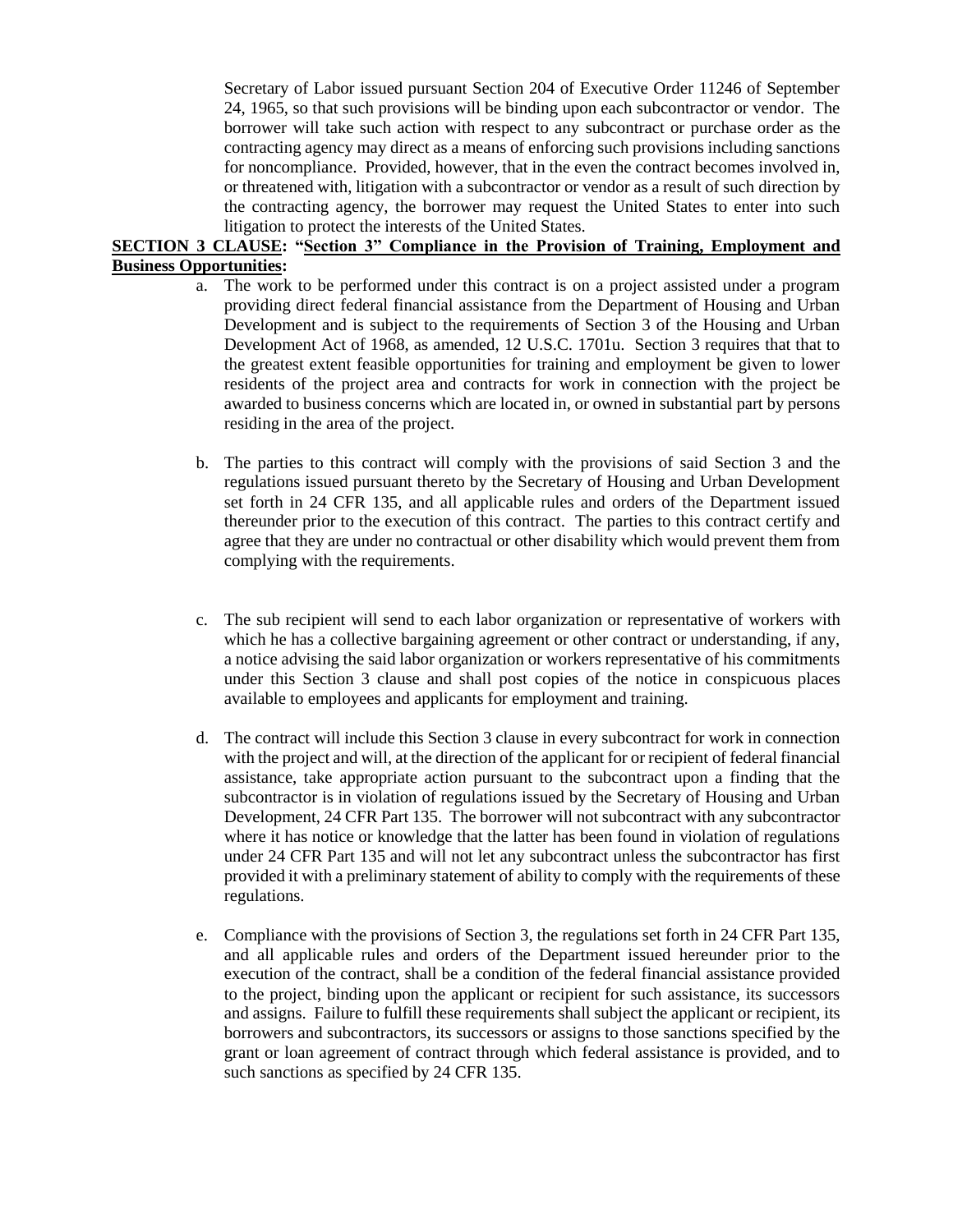Secretary of Labor issued pursuant Section 204 of Executive Order 11246 of September 24, 1965, so that such provisions will be binding upon each subcontractor or vendor. The borrower will take such action with respect to any subcontract or purchase order as the contracting agency may direct as a means of enforcing such provisions including sanctions for noncompliance. Provided, however, that in the even the contract becomes involved in, or threatened with, litigation with a subcontractor or vendor as a result of such direction by the contracting agency, the borrower may request the United States to enter into such litigation to protect the interests of the United States.

#### **SECTION 3 CLAUSE: "Section 3" Compliance in the Provision of Training, Employment and Business Opportunities:**

- a. The work to be performed under this contract is on a project assisted under a program providing direct federal financial assistance from the Department of Housing and Urban Development and is subject to the requirements of Section 3 of the Housing and Urban Development Act of 1968, as amended, 12 U.S.C. 1701u. Section 3 requires that that to the greatest extent feasible opportunities for training and employment be given to lower residents of the project area and contracts for work in connection with the project be awarded to business concerns which are located in, or owned in substantial part by persons residing in the area of the project.
- b. The parties to this contract will comply with the provisions of said Section 3 and the regulations issued pursuant thereto by the Secretary of Housing and Urban Development set forth in 24 CFR 135, and all applicable rules and orders of the Department issued thereunder prior to the execution of this contract. The parties to this contract certify and agree that they are under no contractual or other disability which would prevent them from complying with the requirements.
- c. The sub recipient will send to each labor organization or representative of workers with which he has a collective bargaining agreement or other contract or understanding, if any, a notice advising the said labor organization or workers representative of his commitments under this Section 3 clause and shall post copies of the notice in conspicuous places available to employees and applicants for employment and training.
- d. The contract will include this Section 3 clause in every subcontract for work in connection with the project and will, at the direction of the applicant for or recipient of federal financial assistance, take appropriate action pursuant to the subcontract upon a finding that the subcontractor is in violation of regulations issued by the Secretary of Housing and Urban Development, 24 CFR Part 135. The borrower will not subcontract with any subcontractor where it has notice or knowledge that the latter has been found in violation of regulations under 24 CFR Part 135 and will not let any subcontract unless the subcontractor has first provided it with a preliminary statement of ability to comply with the requirements of these regulations.
- e. Compliance with the provisions of Section 3, the regulations set forth in 24 CFR Part 135, and all applicable rules and orders of the Department issued hereunder prior to the execution of the contract, shall be a condition of the federal financial assistance provided to the project, binding upon the applicant or recipient for such assistance, its successors and assigns. Failure to fulfill these requirements shall subject the applicant or recipient, its borrowers and subcontractors, its successors or assigns to those sanctions specified by the grant or loan agreement of contract through which federal assistance is provided, and to such sanctions as specified by 24 CFR 135.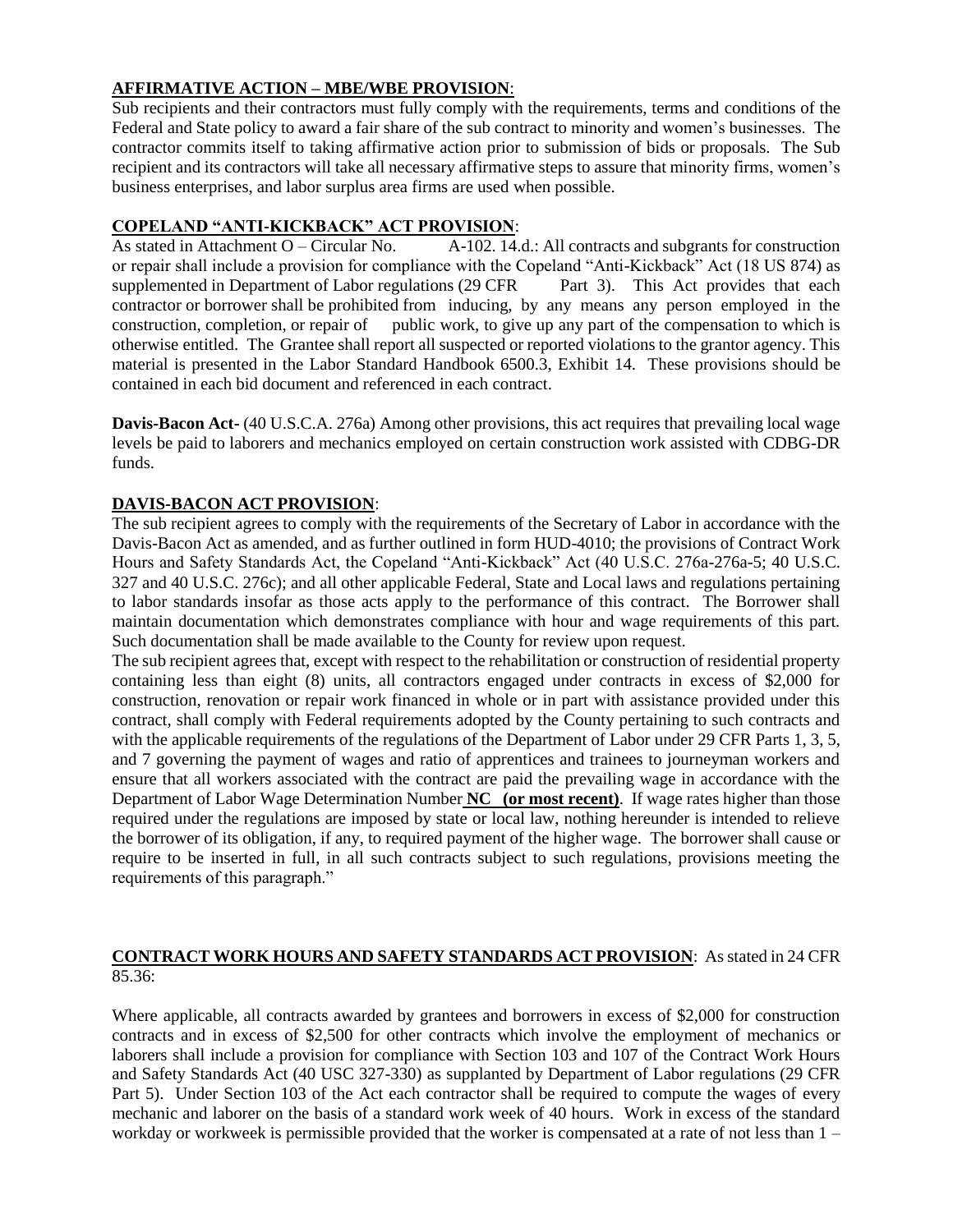# **AFFIRMATIVE ACTION – MBE/WBE PROVISION**:

Sub recipients and their contractors must fully comply with the requirements, terms and conditions of the Federal and State policy to award a fair share of the sub contract to minority and women's businesses. The contractor commits itself to taking affirmative action prior to submission of bids or proposals. The Sub recipient and its contractors will take all necessary affirmative steps to assure that minority firms, women's business enterprises, and labor surplus area firms are used when possible.

### **COPELAND "ANTI-KICKBACK" ACT PROVISION**:

As stated in Attachment O – Circular No.  $A-102$ . 14.d.: All contracts and subgrants for construction or repair shall include a provision for compliance with the Copeland "Anti-Kickback" Act (18 US 874) as supplemented in Department of Labor regulations (29 CFR Part 3). This Act provides that each contractor or borrower shall be prohibited from inducing, by any means any person employed in the construction, completion, or repair of public work, to give up any part of the compensation to which is otherwise entitled. The Grantee shall report all suspected or reported violations to the grantor agency. This material is presented in the Labor Standard Handbook 6500.3, Exhibit 14. These provisions should be contained in each bid document and referenced in each contract.

**Davis-Bacon Act-** (40 U.S.C.A. 276a) Among other provisions, this act requires that prevailing local wage levels be paid to laborers and mechanics employed on certain construction work assisted with CDBG-DR funds.

### **DAVIS-BACON ACT PROVISION**:

The sub recipient agrees to comply with the requirements of the Secretary of Labor in accordance with the Davis-Bacon Act as amended, and as further outlined in form HUD-4010; the provisions of Contract Work Hours and Safety Standards Act, the Copeland "Anti-Kickback" Act (40 U.S.C. 276a-276a-5; 40 U.S.C. 327 and 40 U.S.C. 276c); and all other applicable Federal, State and Local laws and regulations pertaining to labor standards insofar as those acts apply to the performance of this contract. The Borrower shall maintain documentation which demonstrates compliance with hour and wage requirements of this part. Such documentation shall be made available to the County for review upon request.

The sub recipient agrees that, except with respect to the rehabilitation or construction of residential property containing less than eight (8) units, all contractors engaged under contracts in excess of \$2,000 for construction, renovation or repair work financed in whole or in part with assistance provided under this contract, shall comply with Federal requirements adopted by the County pertaining to such contracts and with the applicable requirements of the regulations of the Department of Labor under 29 CFR Parts 1, 3, 5, and 7 governing the payment of wages and ratio of apprentices and trainees to journeyman workers and ensure that all workers associated with the contract are paid the prevailing wage in accordance with the Department of Labor Wage Determination Number **NC (or most recent)**. If wage rates higher than those required under the regulations are imposed by state or local law, nothing hereunder is intended to relieve the borrower of its obligation, if any, to required payment of the higher wage. The borrower shall cause or require to be inserted in full, in all such contracts subject to such regulations, provisions meeting the requirements of this paragraph."

#### **CONTRACT WORK HOURS AND SAFETY STANDARDS ACT PROVISION**: As stated in 24 CFR 85.36:

Where applicable, all contracts awarded by grantees and borrowers in excess of \$2,000 for construction contracts and in excess of \$2,500 for other contracts which involve the employment of mechanics or laborers shall include a provision for compliance with Section 103 and 107 of the Contract Work Hours and Safety Standards Act (40 USC 327-330) as supplanted by Department of Labor regulations (29 CFR Part 5). Under Section 103 of the Act each contractor shall be required to compute the wages of every mechanic and laborer on the basis of a standard work week of 40 hours. Work in excess of the standard workday or workweek is permissible provided that the worker is compensated at a rate of not less than  $1 -$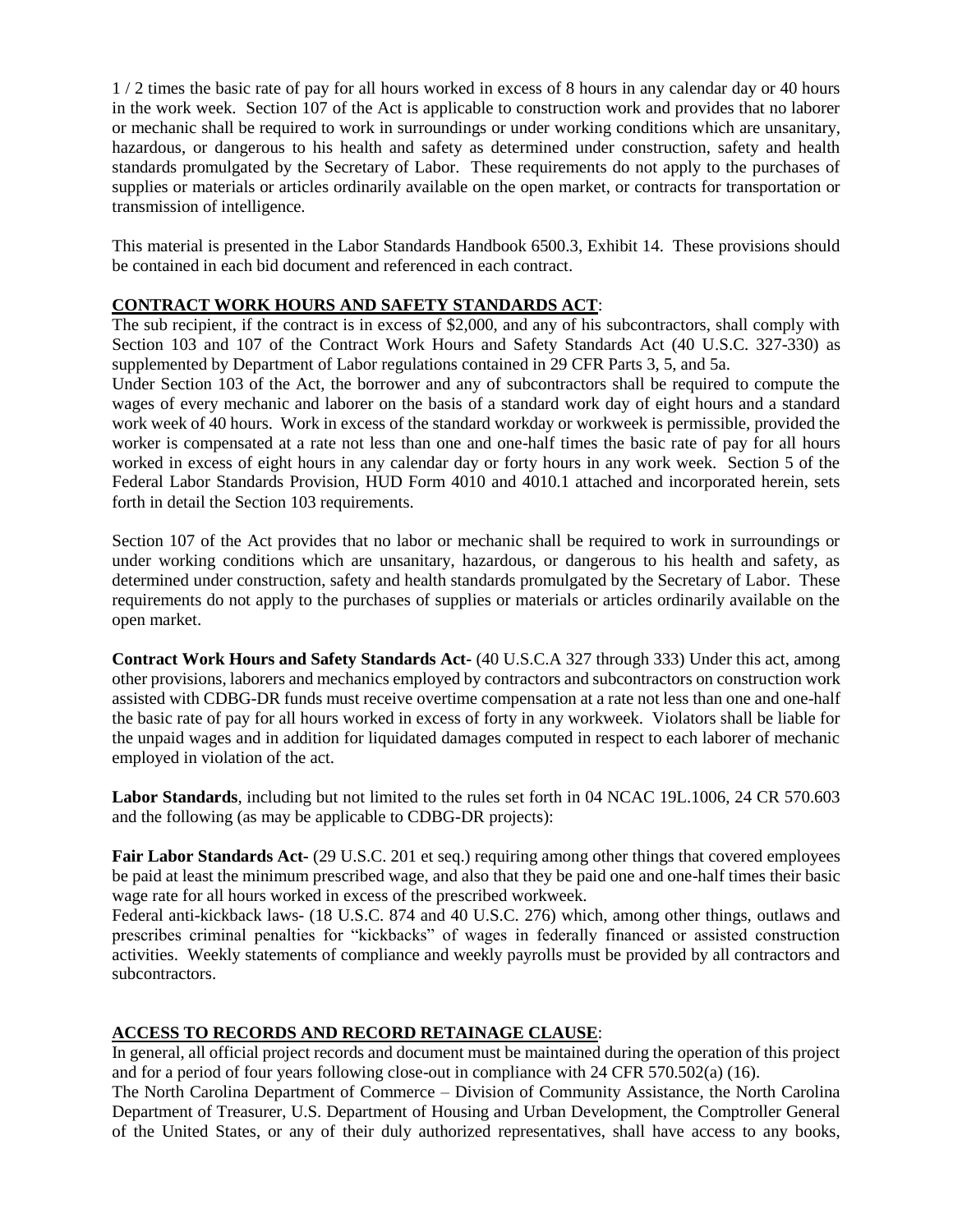1 / 2 times the basic rate of pay for all hours worked in excess of 8 hours in any calendar day or 40 hours in the work week. Section 107 of the Act is applicable to construction work and provides that no laborer or mechanic shall be required to work in surroundings or under working conditions which are unsanitary, hazardous, or dangerous to his health and safety as determined under construction, safety and health standards promulgated by the Secretary of Labor. These requirements do not apply to the purchases of supplies or materials or articles ordinarily available on the open market, or contracts for transportation or transmission of intelligence.

This material is presented in the Labor Standards Handbook 6500.3, Exhibit 14. These provisions should be contained in each bid document and referenced in each contract.

#### **CONTRACT WORK HOURS AND SAFETY STANDARDS ACT**:

The sub recipient, if the contract is in excess of \$2,000, and any of his subcontractors, shall comply with Section 103 and 107 of the Contract Work Hours and Safety Standards Act (40 U.S.C. 327-330) as supplemented by Department of Labor regulations contained in 29 CFR Parts 3, 5, and 5a.

Under Section 103 of the Act, the borrower and any of subcontractors shall be required to compute the wages of every mechanic and laborer on the basis of a standard work day of eight hours and a standard work week of 40 hours. Work in excess of the standard workday or workweek is permissible, provided the worker is compensated at a rate not less than one and one-half times the basic rate of pay for all hours worked in excess of eight hours in any calendar day or forty hours in any work week. Section 5 of the Federal Labor Standards Provision, HUD Form 4010 and 4010.1 attached and incorporated herein, sets forth in detail the Section 103 requirements.

Section 107 of the Act provides that no labor or mechanic shall be required to work in surroundings or under working conditions which are unsanitary, hazardous, or dangerous to his health and safety, as determined under construction, safety and health standards promulgated by the Secretary of Labor. These requirements do not apply to the purchases of supplies or materials or articles ordinarily available on the open market.

**Contract Work Hours and Safety Standards Act-** (40 U.S.C.A 327 through 333) Under this act, among other provisions, laborers and mechanics employed by contractors and subcontractors on construction work assisted with CDBG-DR funds must receive overtime compensation at a rate not less than one and one-half the basic rate of pay for all hours worked in excess of forty in any workweek. Violators shall be liable for the unpaid wages and in addition for liquidated damages computed in respect to each laborer of mechanic employed in violation of the act.

**Labor Standards**, including but not limited to the rules set forth in 04 NCAC 19L.1006, 24 CR 570.603 and the following (as may be applicable to CDBG-DR projects):

**Fair Labor Standards Act-** (29 U.S.C. 201 et seq.) requiring among other things that covered employees be paid at least the minimum prescribed wage, and also that they be paid one and one-half times their basic wage rate for all hours worked in excess of the prescribed workweek.

Federal anti-kickback laws- (18 U.S.C. 874 and 40 U.S.C. 276) which, among other things, outlaws and prescribes criminal penalties for "kickbacks" of wages in federally financed or assisted construction activities. Weekly statements of compliance and weekly payrolls must be provided by all contractors and subcontractors.

#### **ACCESS TO RECORDS AND RECORD RETAINAGE CLAUSE**:

In general, all official project records and document must be maintained during the operation of this project and for a period of four years following close-out in compliance with 24 CFR 570.502(a) (16).

The North Carolina Department of Commerce – Division of Community Assistance, the North Carolina Department of Treasurer, U.S. Department of Housing and Urban Development, the Comptroller General of the United States, or any of their duly authorized representatives, shall have access to any books,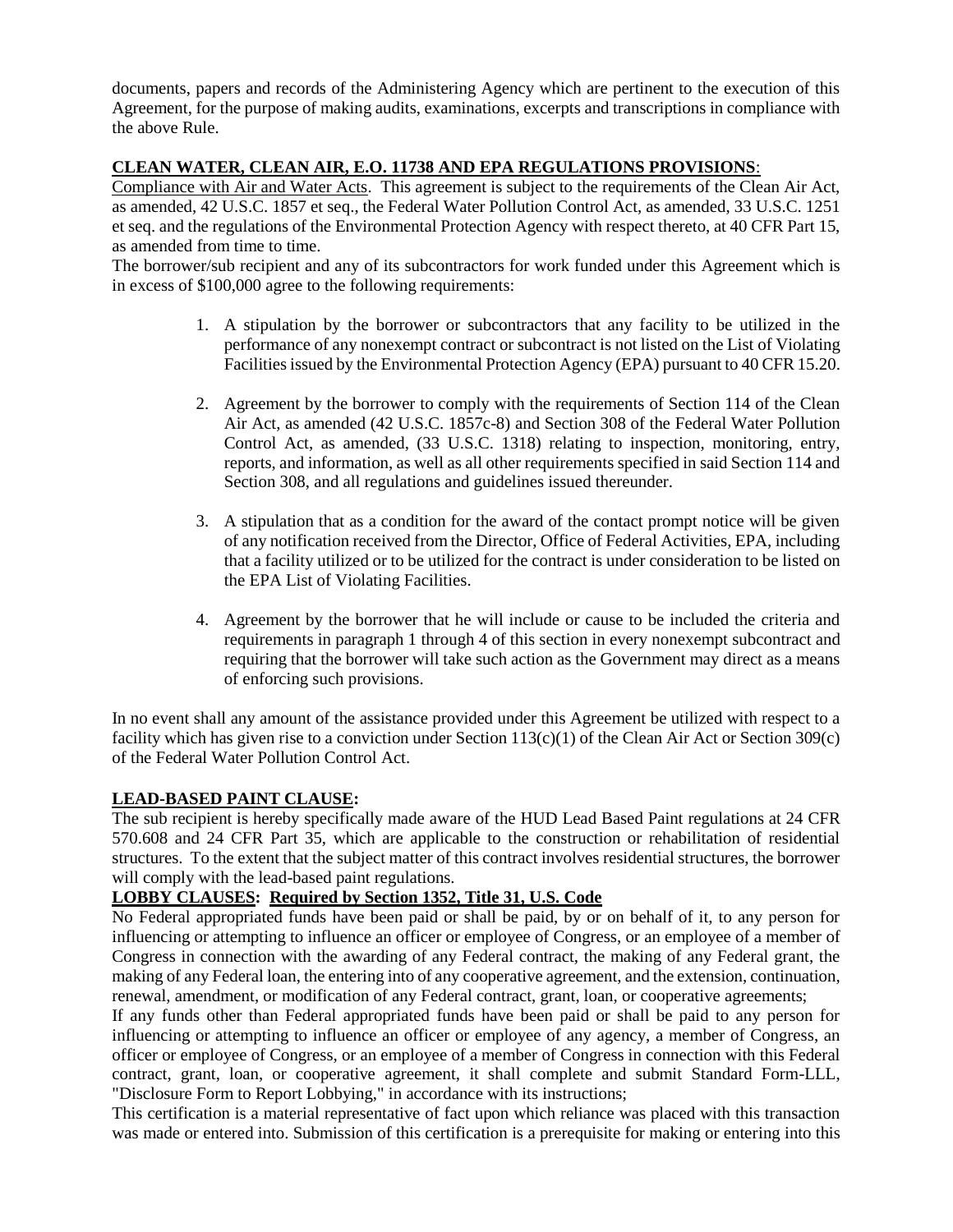documents, papers and records of the Administering Agency which are pertinent to the execution of this Agreement, for the purpose of making audits, examinations, excerpts and transcriptions in compliance with the above Rule.

# **CLEAN WATER, CLEAN AIR, E.O. 11738 AND EPA REGULATIONS PROVISIONS**:

Compliance with Air and Water Acts. This agreement is subject to the requirements of the Clean Air Act, as amended, 42 U.S.C. 1857 et seq., the Federal Water Pollution Control Act, as amended, 33 U.S.C. 1251 et seq. and the regulations of the Environmental Protection Agency with respect thereto, at 40 CFR Part 15, as amended from time to time.

The borrower/sub recipient and any of its subcontractors for work funded under this Agreement which is in excess of \$100,000 agree to the following requirements:

- 1. A stipulation by the borrower or subcontractors that any facility to be utilized in the performance of any nonexempt contract or subcontract is not listed on the List of Violating Facilities issued by the Environmental Protection Agency (EPA) pursuant to 40 CFR 15.20.
- 2. Agreement by the borrower to comply with the requirements of Section 114 of the Clean Air Act, as amended (42 U.S.C. 1857c-8) and Section 308 of the Federal Water Pollution Control Act, as amended, (33 U.S.C. 1318) relating to inspection, monitoring, entry, reports, and information, as well as all other requirements specified in said Section 114 and Section 308, and all regulations and guidelines issued thereunder.
- 3. A stipulation that as a condition for the award of the contact prompt notice will be given of any notification received from the Director, Office of Federal Activities, EPA, including that a facility utilized or to be utilized for the contract is under consideration to be listed on the EPA List of Violating Facilities.
- 4. Agreement by the borrower that he will include or cause to be included the criteria and requirements in paragraph 1 through 4 of this section in every nonexempt subcontract and requiring that the borrower will take such action as the Government may direct as a means of enforcing such provisions.

In no event shall any amount of the assistance provided under this Agreement be utilized with respect to a facility which has given rise to a conviction under Section 113(c)(1) of the Clean Air Act or Section 309(c) of the Federal Water Pollution Control Act.

# **LEAD-BASED PAINT CLAUSE:**

The sub recipient is hereby specifically made aware of the HUD Lead Based Paint regulations at 24 CFR 570.608 and 24 CFR Part 35, which are applicable to the construction or rehabilitation of residential structures. To the extent that the subject matter of this contract involves residential structures, the borrower will comply with the lead-based paint regulations.

# **LOBBY CLAUSES: Required by Section 1352, Title 31, U.S. Code**

No Federal appropriated funds have been paid or shall be paid, by or on behalf of it, to any person for influencing or attempting to influence an officer or employee of Congress, or an employee of a member of Congress in connection with the awarding of any Federal contract, the making of any Federal grant, the making of any Federal loan, the entering into of any cooperative agreement, and the extension, continuation, renewal, amendment, or modification of any Federal contract, grant, loan, or cooperative agreements;

If any funds other than Federal appropriated funds have been paid or shall be paid to any person for influencing or attempting to influence an officer or employee of any agency, a member of Congress, an officer or employee of Congress, or an employee of a member of Congress in connection with this Federal contract, grant, loan, or cooperative agreement, it shall complete and submit Standard Form-LLL, "Disclosure Form to Report Lobbying," in accordance with its instructions;

This certification is a material representative of fact upon which reliance was placed with this transaction was made or entered into. Submission of this certification is a prerequisite for making or entering into this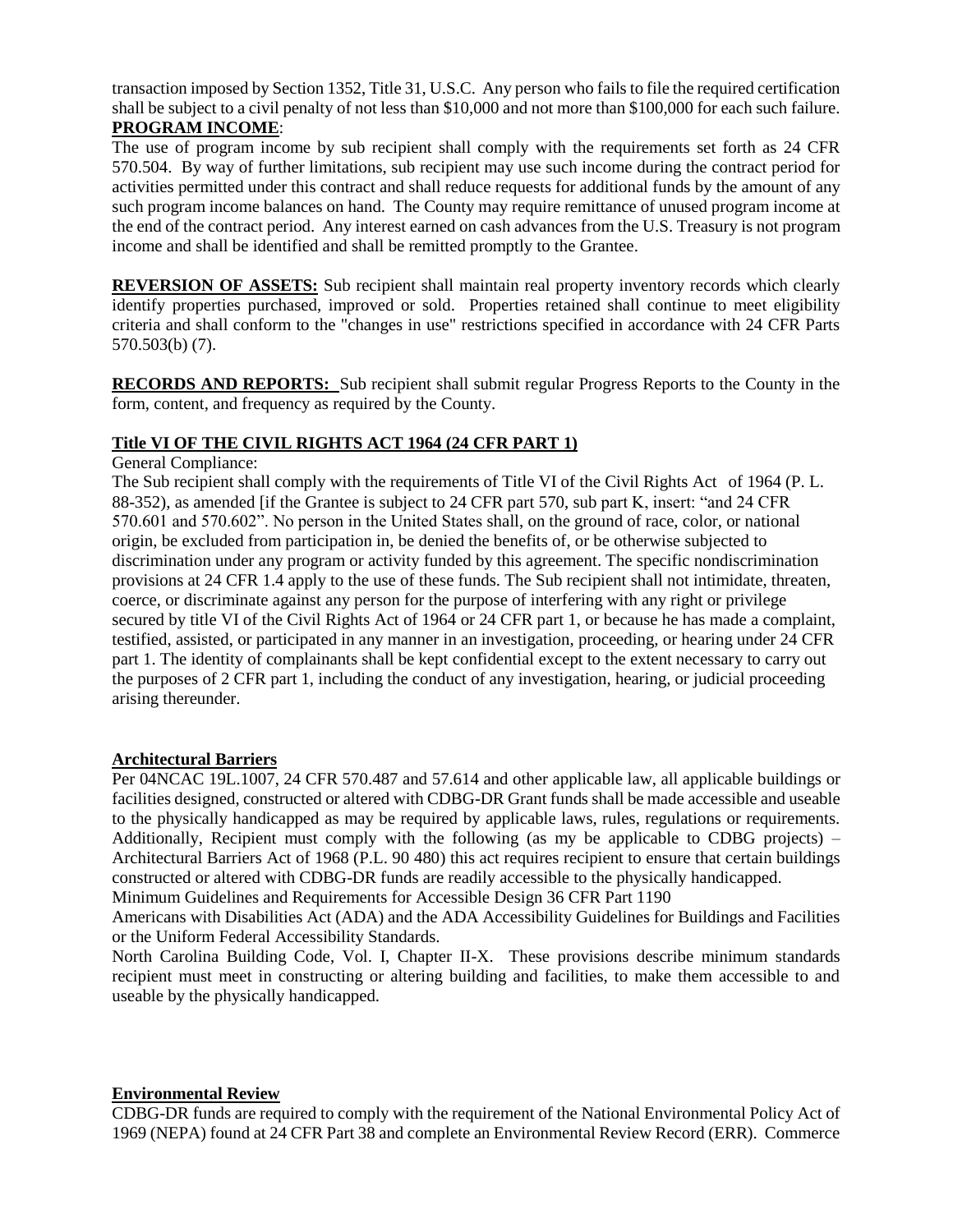transaction imposed by Section 1352, Title 31, U.S.C. Any person who fails to file the required certification shall be subject to a civil penalty of not less than \$10,000 and not more than \$100,000 for each such failure. **PROGRAM INCOME**:

The use of program income by sub recipient shall comply with the requirements set forth as 24 CFR 570.504. By way of further limitations, sub recipient may use such income during the contract period for activities permitted under this contract and shall reduce requests for additional funds by the amount of any such program income balances on hand. The County may require remittance of unused program income at the end of the contract period. Any interest earned on cash advances from the U.S. Treasury is not program income and shall be identified and shall be remitted promptly to the Grantee.

**REVERSION OF ASSETS:** Sub recipient shall maintain real property inventory records which clearly identify properties purchased, improved or sold. Properties retained shall continue to meet eligibility criteria and shall conform to the "changes in use" restrictions specified in accordance with 24 CFR Parts 570.503(b) (7).

**RECORDS AND REPORTS:** Sub recipient shall submit regular Progress Reports to the County in the form, content, and frequency as required by the County.

### **Title VI OF THE CIVIL RIGHTS ACT 1964 (24 CFR PART 1)**

### General Compliance:

The Sub recipient shall comply with the requirements of Title VI of the Civil Rights Act of 1964 (P. L. 88-352), as amended [if the Grantee is subject to 24 CFR part 570, sub part K, insert: "and 24 CFR 570.601 and 570.602". No person in the United States shall, on the ground of race, color, or national origin, be excluded from participation in, be denied the benefits of, or be otherwise subjected to discrimination under any program or activity funded by this agreement. The specific nondiscrimination provisions at 24 CFR 1.4 apply to the use of these funds. The Sub recipient shall not intimidate, threaten, coerce, or discriminate against any person for the purpose of interfering with any right or privilege secured by title VI of the Civil Rights Act of 1964 or 24 CFR part 1, or because he has made a complaint, testified, assisted, or participated in any manner in an investigation, proceeding, or hearing under 24 CFR part 1. The identity of complainants shall be kept confidential except to the extent necessary to carry out the purposes of 2 CFR part 1, including the conduct of any investigation, hearing, or judicial proceeding arising thereunder.

#### **Architectural Barriers**

Per 04NCAC 19L.1007, 24 CFR 570.487 and 57.614 and other applicable law, all applicable buildings or facilities designed, constructed or altered with CDBG-DR Grant funds shall be made accessible and useable to the physically handicapped as may be required by applicable laws, rules, regulations or requirements. Additionally, Recipient must comply with the following (as my be applicable to CDBG projects) – Architectural Barriers Act of 1968 (P.L. 90 480) this act requires recipient to ensure that certain buildings constructed or altered with CDBG-DR funds are readily accessible to the physically handicapped.

Minimum Guidelines and Requirements for Accessible Design 36 CFR Part 1190

Americans with Disabilities Act (ADA) and the ADA Accessibility Guidelines for Buildings and Facilities or the Uniform Federal Accessibility Standards.

North Carolina Building Code, Vol. I, Chapter II-X. These provisions describe minimum standards recipient must meet in constructing or altering building and facilities, to make them accessible to and useable by the physically handicapped.

#### **Environmental Review**

CDBG-DR funds are required to comply with the requirement of the National Environmental Policy Act of 1969 (NEPA) found at 24 CFR Part 38 and complete an Environmental Review Record (ERR). Commerce